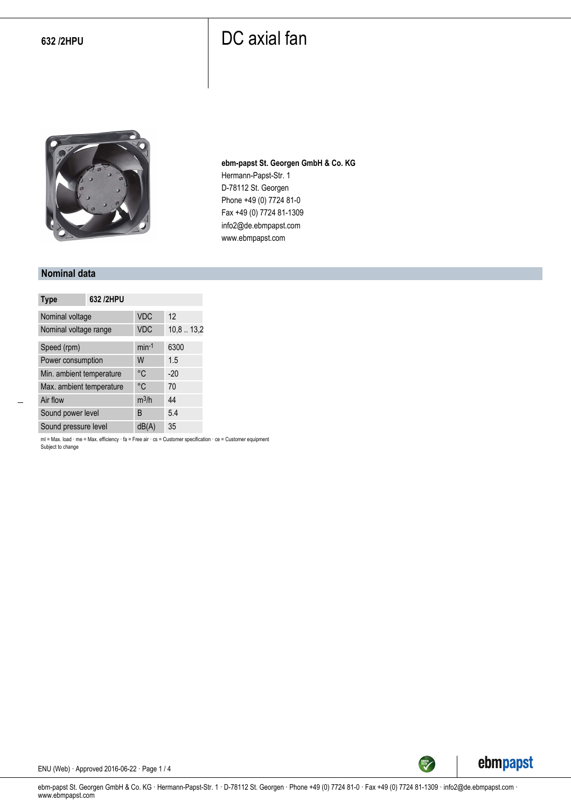## **632 /2HPU** DC axial fan



**ebm-papst St. Georgen GmbH & Co. KG** Hermann-Papst-Str. 1 D-78112 St. Georgen Phone +49 (0) 7724 81-0 Fax +49 (0) 7724 81-1309 info2@de.ebmpapst.com www.ebmpapst.com

#### **Nominal data**

| <b>Type</b>              | 632 /2HPU |            |          |
|--------------------------|-----------|------------|----------|
| Nominal voltage          |           | <b>VDC</b> | 12       |
| Nominal voltage range    |           | <b>VDC</b> | 10,813,2 |
| Speed (rpm)              |           | $min-1$    | 6300     |
| Power consumption        |           | W          | 1.5      |
| Min. ambient temperature |           | °C         | $-20$    |
| Max. ambient temperature |           | °C         | 70       |
| Air flow                 |           | $m^3/h$    | 44       |
| Sound power level        |           | B          | 5.4      |
| Sound pressure level     |           | dB(A)      | 35       |

ml = Max. load · me = Max. efficiency · fa = Free air · cs = Customer specification · ce = Customer equipment Subject to change



ENU (Web) · Approved 2016-06-22 · Page 1 / 4

ebm-papst St. Georgen GmbH & Co. KG · Hermann-Papst-Str. 1 · D-78112 St. Georgen · Phone +49 (0) 7724 81-0 · Fax +49 (0) 7724 81-1309 · info2@de.ebmpapst.com · www.ebmpapst.com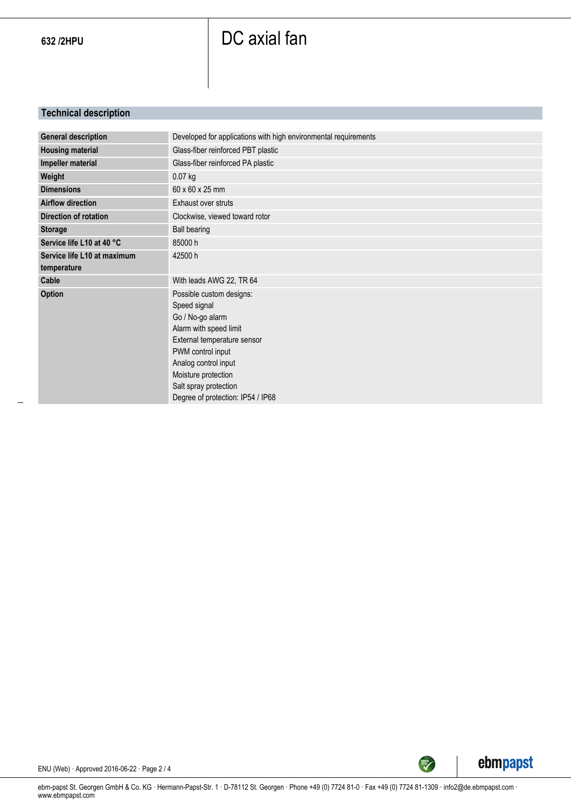# 632 /2HPU **DC** axial fan

### **Technical description**

| <b>General description</b>  | Developed for applications with high environmental requirements |
|-----------------------------|-----------------------------------------------------------------|
| <b>Housing material</b>     | Glass-fiber reinforced PBT plastic                              |
| Impeller material           | Glass-fiber reinforced PA plastic                               |
| Weight                      | 0.07 kg                                                         |
| <b>Dimensions</b>           | 60 x 60 x 25 mm                                                 |
| <b>Airflow direction</b>    | Exhaust over struts                                             |
| Direction of rotation       | Clockwise, viewed toward rotor                                  |
| <b>Storage</b>              | <b>Ball bearing</b>                                             |
| Service life L10 at 40 °C   | 85000h                                                          |
| Service life L10 at maximum | 42500 h                                                         |
| temperature                 |                                                                 |
| Cable                       | With leads AWG 22, TR 64                                        |
| <b>Option</b>               | Possible custom designs:                                        |
|                             | Speed signal                                                    |
|                             | Go / No-go alarm                                                |
|                             | Alarm with speed limit                                          |
|                             | External temperature sensor                                     |
|                             | PWM control input                                               |
|                             | Analog control input                                            |
|                             | Moisture protection                                             |
|                             | Salt spray protection                                           |
|                             |                                                                 |
|                             | Degree of protection: IP54 / IP68                               |





SREEN

ENU (Web) · Approved 2016-06-22 · Page 2 / 4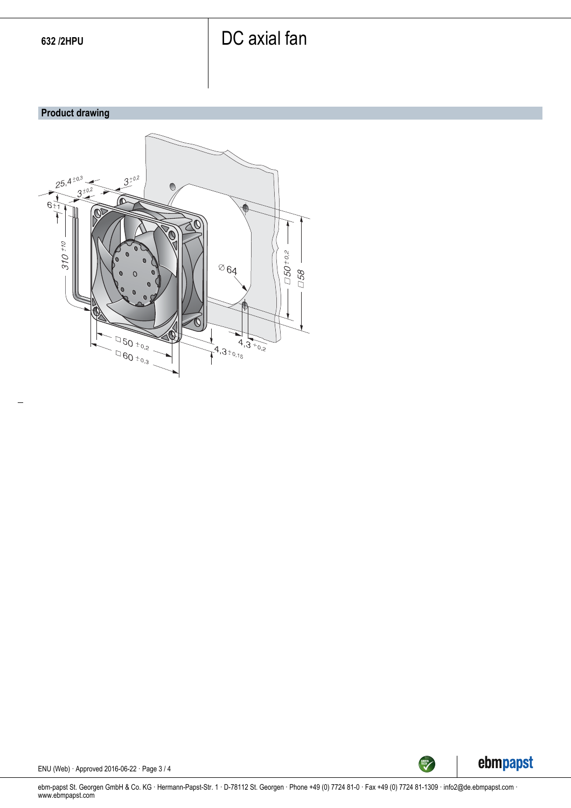## 632 /2HPU **DC** axial fan

#### **Product drawing**





ENU (Web) · Approved 2016-06-22 · Page 3 / 4

ebm-papst St. Georgen GmbH & Co. KG · Hermann-Papst-Str. 1 · D-78112 St. Georgen · Phone +49 (0) 7724 81-0 · Fax +49 (0) 7724 81-1309 · info2@de.ebmpapst.com · www.ebmpapst.com